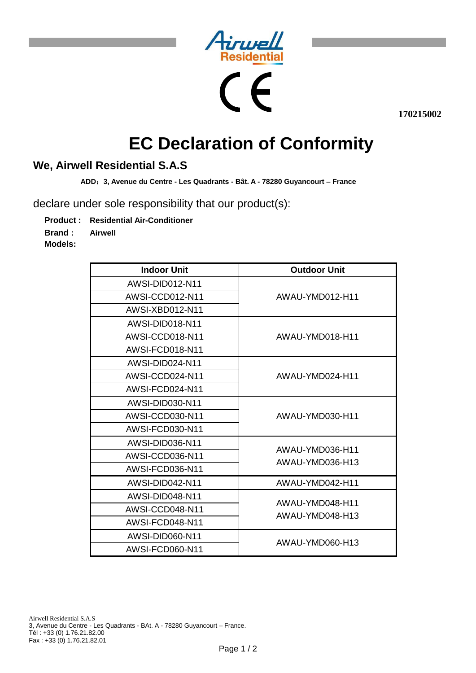

י



**170215002**

# **EC Declaration of Conformity**

## **We, Airwell Residential S.A.S**

**ADD**:**3, Avenue du Centre - Les Quadrants - Bât. A - 78280 Guyancourt – France** 

declare under sole responsibility that our product(s):

**Product : Residential Air-Conditioner**

**Brand : Airwell**

**Models:**

| <b>Indoor Unit</b> | <b>Outdoor Unit</b>                |
|--------------------|------------------------------------|
| AWSI-DID012-N11    | AWAU-YMD012-H11                    |
| AWSI-CCD012-N11    |                                    |
| AWSI-XBD012-N11    |                                    |
| AWSI-DID018-N11    | AWAU-YMD018-H11                    |
| AWSI-CCD018-N11    |                                    |
| AWSI-FCD018-N11    |                                    |
| AWSI-DID024-N11    | AWAU-YMD024-H11                    |
| AWSI-CCD024-N11    |                                    |
| AWSI-FCD024-N11    |                                    |
| AWSI-DID030-N11    | AWAU-YMD030-H11                    |
| AWSI-CCD030-N11    |                                    |
| AWSI-FCD030-N11    |                                    |
| AWSI-DID036-N11    | AWAU-YMD036-H11<br>AWAU-YMD036-H13 |
| AWSI-CCD036-N11    |                                    |
| AWSI-FCD036-N11    |                                    |
| AWSI-DID042-N11    | AWAU-YMD042-H11                    |
| AWSI-DID048-N11    | AWAU-YMD048-H11<br>AWAU-YMD048-H13 |
| AWSI-CCD048-N11    |                                    |
| AWSI-FCD048-N11    |                                    |
| AWSI-DID060-N11    | AWAU-YMD060-H13                    |
| AWSI-FCD060-N11    |                                    |